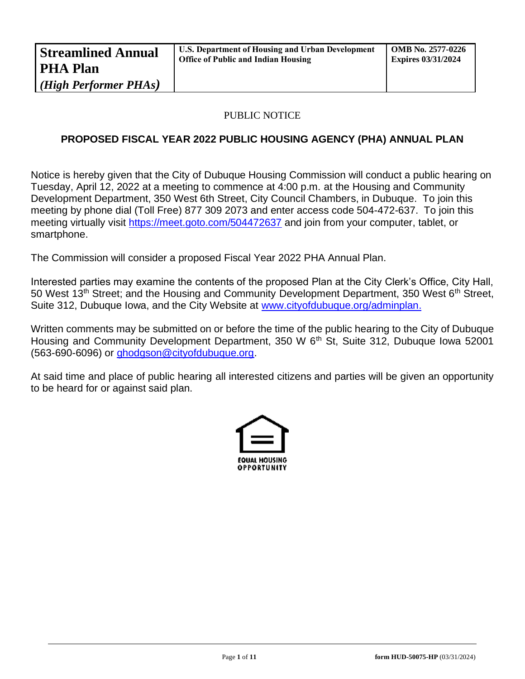# PUBLIC NOTICE

# **PROPOSED FISCAL YEAR 2022 PUBLIC HOUSING AGENCY (PHA) ANNUAL PLAN**

Notice is hereby given that the City of Dubuque Housing Commission will conduct a public hearing on Tuesday, April 12, 2022 at a meeting to commence at 4:00 p.m. at the Housing and Community Development Department, 350 West 6th Street, City Council Chambers, in Dubuque. To join this meeting by phone dial (Toll Free) 877 309 2073 and enter access code 504-472-637. To join this meeting virtually visit<https://meet.goto.com/504472637> and join from your computer, tablet, or smartphone.

The Commission will consider a proposed Fiscal Year 2022 PHA Annual Plan.

Interested parties may examine the contents of the proposed Plan at the City Clerk's Office, City Hall, 50 West 13<sup>th</sup> Street; and the Housing and Community Development Department, 350 West 6<sup>th</sup> Street, Suite 312, Dubuque Iowa, and the City Website at [www.cityofdubuque.org/adminplan.](http://www.cityofdubuque.org/adminplan)

Written comments may be submitted on or before the time of the public hearing to the City of Dubuque Housing and Community Development Department, 350 W 6<sup>th</sup> St. Suite 312, Dubuque Iowa 52001 (563-690-6096) or [ghodgson@cityofdubuque.org.](mailto:ghodgson@cityofdubuque.org)

At said time and place of public hearing all interested citizens and parties will be given an opportunity to be heard for or against said plan.

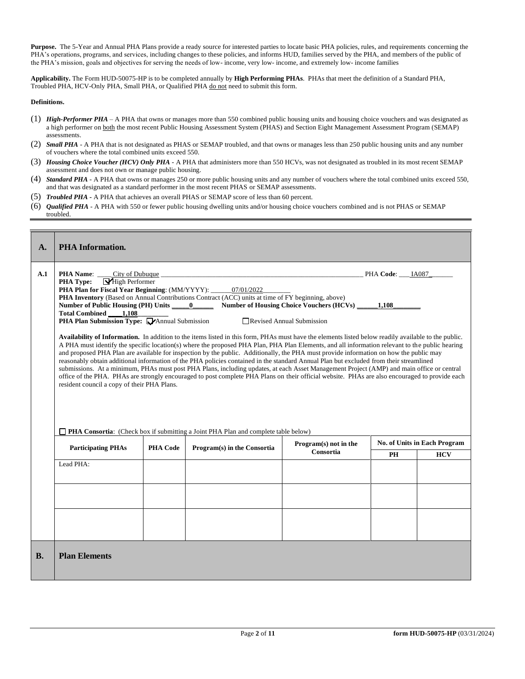Purpose. The 5-Year and Annual PHA Plans provide a ready source for interested parties to locate basic PHA policies, rules, and requirements concerning the PHA's operations, programs, and services, including changes to these policies, and informs HUD, families served by the PHA, and members of the public of the PHA's mission, goals and objectives for serving the needs of low- income, very low- income, and extremely low- income families

**Applicability.** The Form HUD-50075-HP is to be completed annually by **High Performing PHAs**. PHAs that meet the definition of a Standard PHA, Troubled PHA, HCV-Only PHA, Small PHA, or Qualified PHA do not need to submit this form.

#### **Definitions.**

- (1) *High-Performer PHA* A PHA that owns or manages more than 550 combined public housing units and housing choice vouchers and was designated as a high performer on both the most recent Public Housing Assessment System (PHAS) and Section Eight Management Assessment Program (SEMAP) assessments.
- (2) *Small PHA* A PHA that is not designated as PHAS or SEMAP troubled, and that owns or manages less than 250 public housing units and any number of vouchers where the total combined units exceed 550.
- (3) *Housing Choice Voucher (HCV) Only PHA* A PHA that administers more than 550 HCVs, was not designated as troubled in its most recent SEMAP assessment and does not own or manage public housing.
- (4) *Standard PHA* A PHA that owns or manages 250 or more public housing units and any number of vouchers where the total combined units exceed 550, and that was designated as a standard performer in the most recent PHAS or SEMAP assessments.
- (5) *Troubled PHA* **-** A PHA that achieves an overall PHAS or SEMAP score of less than 60 percent.
- (6) *Qualified PHA* A PHA with 550 or fewer public housing dwelling units and/or housing choice vouchers combined and is not PHAS or SEMAP troubled.

| A.        | <b>PHA</b> Information.                                                                                                                                                                                                                                        |                 |                                                                                                                                                                                                                                                                                                                                                                                                                                                                                                                                                                                                                                                                                                                                                                                                                                                                                                                                                                                                                                                                                                                                                                                                                          |                                    |                     |                              |
|-----------|----------------------------------------------------------------------------------------------------------------------------------------------------------------------------------------------------------------------------------------------------------------|-----------------|--------------------------------------------------------------------------------------------------------------------------------------------------------------------------------------------------------------------------------------------------------------------------------------------------------------------------------------------------------------------------------------------------------------------------------------------------------------------------------------------------------------------------------------------------------------------------------------------------------------------------------------------------------------------------------------------------------------------------------------------------------------------------------------------------------------------------------------------------------------------------------------------------------------------------------------------------------------------------------------------------------------------------------------------------------------------------------------------------------------------------------------------------------------------------------------------------------------------------|------------------------------------|---------------------|------------------------------|
| A.1       | City of Dubuque<br><b>PHA Name:</b><br>High Performer<br><b>PHA Type:</b><br>PHA Plan for Fiscal Year Beginning: (MM/YYYY): _____<br>Total Combined 1,108<br><b>PHA Plan Submission Type: Manual Submission</b><br>resident council a copy of their PHA Plans. |                 | 07/01/2022<br>PHA Inventory (Based on Annual Contributions Contract (ACC) units at time of FY beginning, above)<br>Number of Public Housing (PH) Units ______0_________ Number of Housing Choice Vouchers (HCVs) ______1,108_<br>Availability of Information. In addition to the items listed in this form, PHAs must have the elements listed below readily available to the public.<br>A PHA must identify the specific location(s) where the proposed PHA Plan, PHA Plan Elements, and all information relevant to the public hearing<br>and proposed PHA Plan are available for inspection by the public. Additionally, the PHA must provide information on how the public may<br>reasonably obtain additional information of the PHA policies contained in the standard Annual Plan but excluded from their streamlined<br>submissions. At a minimum, PHAs must post PHA Plans, including updates, at each Asset Management Project (AMP) and main office or central<br>office of the PHA. PHAs are strongly encouraged to post complete PHA Plans on their official website. PHAs are also encouraged to provide each<br>$\Box$ PHA Consortia: (Check box if submitting a Joint PHA Plan and complete table below) | Revised Annual Submission          | $PHA Code:$ $IA087$ |                              |
|           | <b>Participating PHAs</b>                                                                                                                                                                                                                                      | <b>PHA Code</b> | Program(s) in the Consortia                                                                                                                                                                                                                                                                                                                                                                                                                                                                                                                                                                                                                                                                                                                                                                                                                                                                                                                                                                                                                                                                                                                                                                                              | Program(s) not in the<br>Consortia |                     | No. of Units in Each Program |
|           | Lead PHA:                                                                                                                                                                                                                                                      |                 |                                                                                                                                                                                                                                                                                                                                                                                                                                                                                                                                                                                                                                                                                                                                                                                                                                                                                                                                                                                                                                                                                                                                                                                                                          |                                    | <b>PH</b>           | <b>HCV</b>                   |
| <b>B.</b> | <b>Plan Elements</b>                                                                                                                                                                                                                                           |                 |                                                                                                                                                                                                                                                                                                                                                                                                                                                                                                                                                                                                                                                                                                                                                                                                                                                                                                                                                                                                                                                                                                                                                                                                                          |                                    |                     |                              |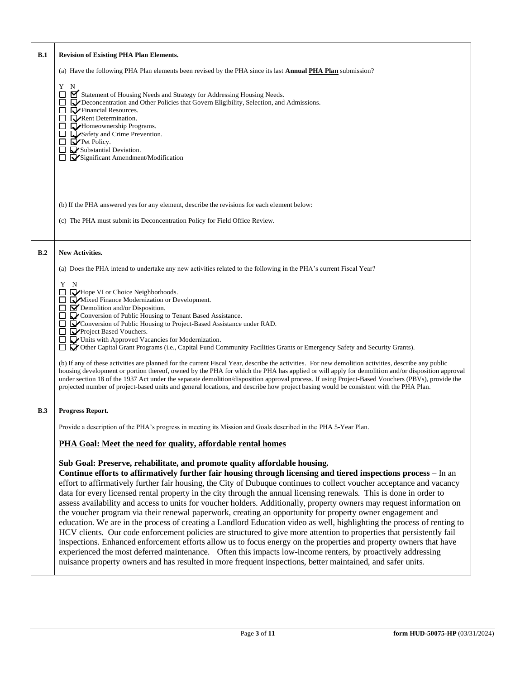| B.1 | <b>Revision of Existing PHA Plan Elements.</b>                                                                                                                                                                                                                                                                                                                                                                                                                                                                                                                                                                                                                                                                                                                                                                                                                                                                                                                                                                                                                                                                                                                                                                                                                                              |  |  |  |  |  |
|-----|---------------------------------------------------------------------------------------------------------------------------------------------------------------------------------------------------------------------------------------------------------------------------------------------------------------------------------------------------------------------------------------------------------------------------------------------------------------------------------------------------------------------------------------------------------------------------------------------------------------------------------------------------------------------------------------------------------------------------------------------------------------------------------------------------------------------------------------------------------------------------------------------------------------------------------------------------------------------------------------------------------------------------------------------------------------------------------------------------------------------------------------------------------------------------------------------------------------------------------------------------------------------------------------------|--|--|--|--|--|
|     | (a) Have the following PHA Plan elements been revised by the PHA since its last <b>Annual PHA Plan</b> submission?                                                                                                                                                                                                                                                                                                                                                                                                                                                                                                                                                                                                                                                                                                                                                                                                                                                                                                                                                                                                                                                                                                                                                                          |  |  |  |  |  |
|     | N<br>Y<br>Statement of Housing Needs and Strategy for Addressing Housing Needs.<br>□<br><b>D</b> Deconcentration and Other Policies that Govern Eligibility, Selection, and Admissions.<br>Financial Resources.<br>$\Box$ Rent Determination.<br>□<br>Homeownership Programs.<br>$\Box$<br>Safety and Crime Prevention.<br>$\blacktriangleright$ Pet Policy.<br>□<br>$\Box$ Substantial Deviation.<br>$\Box$ $\dot{\mathbf{\nabla}}$ Significant Amendment/Modification                                                                                                                                                                                                                                                                                                                                                                                                                                                                                                                                                                                                                                                                                                                                                                                                                     |  |  |  |  |  |
|     | (b) If the PHA answered yes for any element, describe the revisions for each element below:                                                                                                                                                                                                                                                                                                                                                                                                                                                                                                                                                                                                                                                                                                                                                                                                                                                                                                                                                                                                                                                                                                                                                                                                 |  |  |  |  |  |
|     | (c) The PHA must submit its Deconcentration Policy for Field Office Review.                                                                                                                                                                                                                                                                                                                                                                                                                                                                                                                                                                                                                                                                                                                                                                                                                                                                                                                                                                                                                                                                                                                                                                                                                 |  |  |  |  |  |
|     |                                                                                                                                                                                                                                                                                                                                                                                                                                                                                                                                                                                                                                                                                                                                                                                                                                                                                                                                                                                                                                                                                                                                                                                                                                                                                             |  |  |  |  |  |
| B.2 | New Activities.                                                                                                                                                                                                                                                                                                                                                                                                                                                                                                                                                                                                                                                                                                                                                                                                                                                                                                                                                                                                                                                                                                                                                                                                                                                                             |  |  |  |  |  |
|     | (a) Does the PHA intend to undertake any new activities related to the following in the PHA's current Fiscal Year?                                                                                                                                                                                                                                                                                                                                                                                                                                                                                                                                                                                                                                                                                                                                                                                                                                                                                                                                                                                                                                                                                                                                                                          |  |  |  |  |  |
|     | Y N<br>$\Box$ $\Box$ Hope VI or Choice Neighborhoods.<br>Mixed Finance Modernization or Development.<br>$\Box$ $\Box$ Demolition and/or Disposition.<br>□ √ Conversion of Public Housing to Tenant Based Assistance.<br>□ ■ Conversion of Public Housing to Project-Based Assistance under RAD.<br>$\Box$ $\Box$ Project Based Vouchers.<br>Units with Approved Vacancies for Modernization.<br>□ √ Other Capital Grant Programs (i.e., Capital Fund Community Facilities Grants or Emergency Safety and Security Grants).<br>(b) If any of these activities are planned for the current Fiscal Year, describe the activities. For new demolition activities, describe any public<br>housing development or portion thereof, owned by the PHA for which the PHA has applied or will apply for demolition and/or disposition approval<br>under section 18 of the 1937 Act under the separate demolition/disposition approval process. If using Project-Based Vouchers (PBVs), provide the                                                                                                                                                                                                                                                                                                    |  |  |  |  |  |
|     | projected number of project-based units and general locations, and describe how project basing would be consistent with the PHA Plan.                                                                                                                                                                                                                                                                                                                                                                                                                                                                                                                                                                                                                                                                                                                                                                                                                                                                                                                                                                                                                                                                                                                                                       |  |  |  |  |  |
| B.3 | Progress Report.                                                                                                                                                                                                                                                                                                                                                                                                                                                                                                                                                                                                                                                                                                                                                                                                                                                                                                                                                                                                                                                                                                                                                                                                                                                                            |  |  |  |  |  |
|     | Provide a description of the PHA's progress in meeting its Mission and Goals described in the PHA 5-Year Plan.                                                                                                                                                                                                                                                                                                                                                                                                                                                                                                                                                                                                                                                                                                                                                                                                                                                                                                                                                                                                                                                                                                                                                                              |  |  |  |  |  |
|     | PHA Goal: Meet the need for quality, affordable rental homes                                                                                                                                                                                                                                                                                                                                                                                                                                                                                                                                                                                                                                                                                                                                                                                                                                                                                                                                                                                                                                                                                                                                                                                                                                |  |  |  |  |  |
|     | Sub Goal: Preserve, rehabilitate, and promote quality affordable housing.<br>Continue efforts to affirmatively further fair housing through licensing and tiered inspections process - In an<br>effort to affirmatively further fair housing, the City of Dubuque continues to collect voucher acceptance and vacancy<br>data for every licensed rental property in the city through the annual licensing renewals. This is done in order to<br>assess availability and access to units for voucher holders. Additionally, property owners may request information on<br>the voucher program via their renewal paperwork, creating an opportunity for property owner engagement and<br>education. We are in the process of creating a Landlord Education video as well, highlighting the process of renting to<br>HCV clients. Our code enforcement policies are structured to give more attention to properties that persistently fail<br>inspections. Enhanced enforcement efforts allow us to focus energy on the properties and property owners that have<br>experienced the most deferred maintenance. Often this impacts low-income renters, by proactively addressing<br>nuisance property owners and has resulted in more frequent inspections, better maintained, and safer units. |  |  |  |  |  |

 $\mathsf{r}$ 

٦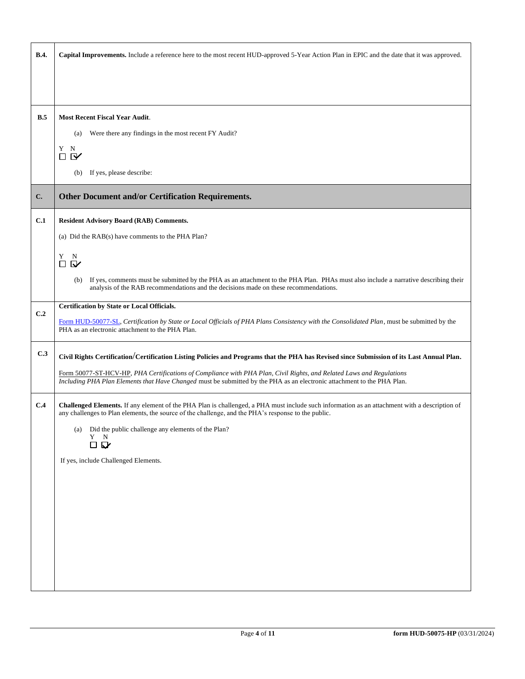| <b>B.4.</b> | Capital Improvements. Include a reference here to the most recent HUD-approved 5-Year Action Plan in EPIC and the date that it was approved.                                                                                                         |  |  |  |  |  |  |
|-------------|------------------------------------------------------------------------------------------------------------------------------------------------------------------------------------------------------------------------------------------------------|--|--|--|--|--|--|
|             |                                                                                                                                                                                                                                                      |  |  |  |  |  |  |
|             |                                                                                                                                                                                                                                                      |  |  |  |  |  |  |
| B.5         | <b>Most Recent Fiscal Year Audit.</b>                                                                                                                                                                                                                |  |  |  |  |  |  |
|             | Were there any findings in the most recent FY Audit?<br>(a)                                                                                                                                                                                          |  |  |  |  |  |  |
|             | Y<br>N<br>$\mathbf{V}$<br>□                                                                                                                                                                                                                          |  |  |  |  |  |  |
|             | If yes, please describe:<br>(b)                                                                                                                                                                                                                      |  |  |  |  |  |  |
| C.          | Other Document and/or Certification Requirements.                                                                                                                                                                                                    |  |  |  |  |  |  |
|             |                                                                                                                                                                                                                                                      |  |  |  |  |  |  |
| C.1         | <b>Resident Advisory Board (RAB) Comments.</b>                                                                                                                                                                                                       |  |  |  |  |  |  |
|             | (a) Did the RAB(s) have comments to the PHA Plan?                                                                                                                                                                                                    |  |  |  |  |  |  |
|             | Y N<br>$\square$                                                                                                                                                                                                                                     |  |  |  |  |  |  |
|             | If yes, comments must be submitted by the PHA as an attachment to the PHA Plan. PHAs must also include a narrative describing their<br>(b)                                                                                                           |  |  |  |  |  |  |
|             | analysis of the RAB recommendations and the decisions made on these recommendations.                                                                                                                                                                 |  |  |  |  |  |  |
| C.2         | Certification by State or Local Officials.                                                                                                                                                                                                           |  |  |  |  |  |  |
|             | Form HUD-50077-SL, Certification by State or Local Officials of PHA Plans Consistency with the Consolidated Plan, must be submitted by the<br>PHA as an electronic attachment to the PHA Plan.                                                       |  |  |  |  |  |  |
| C.3         | Civil Rights Certification/Certification Listing Policies and Programs that the PHA has Revised since Submission of its Last Annual Plan.                                                                                                            |  |  |  |  |  |  |
|             | Form 50077-ST-HCV-HP, PHA Certifications of Compliance with PHA Plan, Civil Rights, and Related Laws and Regulations<br>Including PHA Plan Elements that Have Changed must be submitted by the PHA as an electronic attachment to the PHA Plan.      |  |  |  |  |  |  |
| C.4         | Challenged Elements. If any element of the PHA Plan is challenged, a PHA must include such information as an attachment with a description of<br>any challenges to Plan elements, the source of the challenge, and the PHA's response to the public. |  |  |  |  |  |  |
|             | (a) Did the public challenge any elements of the Plan?<br>Y N                                                                                                                                                                                        |  |  |  |  |  |  |
|             | 口口                                                                                                                                                                                                                                                   |  |  |  |  |  |  |
|             | If yes, include Challenged Elements.                                                                                                                                                                                                                 |  |  |  |  |  |  |
|             |                                                                                                                                                                                                                                                      |  |  |  |  |  |  |
|             |                                                                                                                                                                                                                                                      |  |  |  |  |  |  |
|             |                                                                                                                                                                                                                                                      |  |  |  |  |  |  |
|             |                                                                                                                                                                                                                                                      |  |  |  |  |  |  |
|             |                                                                                                                                                                                                                                                      |  |  |  |  |  |  |
|             |                                                                                                                                                                                                                                                      |  |  |  |  |  |  |
|             |                                                                                                                                                                                                                                                      |  |  |  |  |  |  |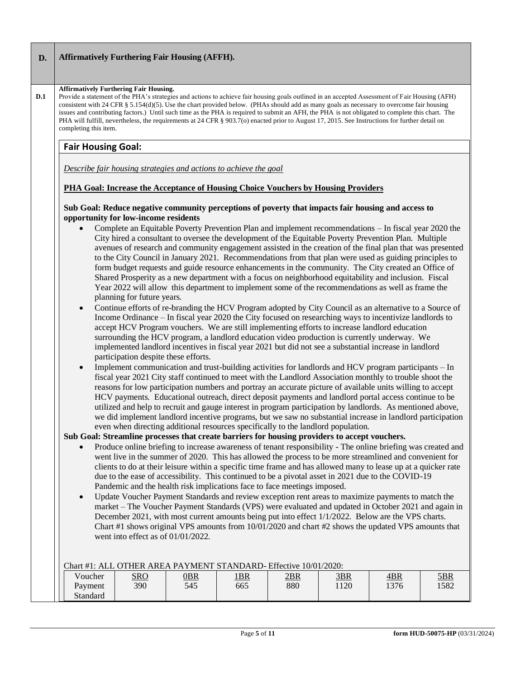## **D. Affirmatively Furthering Fair Housing (AFFH).**

#### **Affirmatively Furthering Fair Housing.**

Provide a statement of the PHA's strategies and actions to achieve fair housing goals outlined in an accepted Assessment of Fair Housing (AFH) consistent with 24 CFR § 5.154(d)(5). Use the chart provided below. (PHAs should add as many goals as necessary to overcome fair housing issues and contributing factors.) Until such time as the PHA is required to submit an AFH, the PHA is not obligated to complete this chart. The PHA will fulfill, nevertheless, the requirements at 24 CFR § 903.7(o) enacted prior to August 17, 2015. See Instructions for further detail on completing this item.

## **Fair Housing Goal:**

**D.1**

*Describe fair housing strategies and actions to achieve the goal* 

## **PHA Goal: Increase the Acceptance of Housing Choice Vouchers by Housing Providers**

#### **Sub Goal: Reduce negative community perceptions of poverty that impacts fair housing and access to opportunity for low-income residents**

- Complete an Equitable Poverty Prevention Plan and implement recommendations In fiscal year 2020 the City hired a consultant to oversee the development of the Equitable Poverty Prevention Plan. Multiple avenues of research and community engagement assisted in the creation of the final plan that was presented to the City Council in January 2021. Recommendations from that plan were used as guiding principles to form budget requests and guide resource enhancements in the community. The City created an Office of Shared Prosperity as a new department with a focus on neighborhood equitability and inclusion. Fiscal Year 2022 will allow this department to implement some of the recommendations as well as frame the planning for future years.
- Continue efforts of re-branding the HCV Program adopted by City Council as an alternative to a Source of Income Ordinance – In fiscal year 2020 the City focused on researching ways to incentivize landlords to accept HCV Program vouchers. We are still implementing efforts to increase landlord education surrounding the HCV program, a landlord education video production is currently underway. We implemented landlord incentives in fiscal year 2021 but did not see a substantial increase in landlord participation despite these efforts.
- Implement communication and trust-building activities for landlords and HCV program participants In fiscal year 2021 City staff continued to meet with the Landlord Association monthly to trouble shoot the reasons for low participation numbers and portray an accurate picture of available units willing to accept HCV payments. Educational outreach, direct deposit payments and landlord portal access continue to be utilized and help to recruit and gauge interest in program participation by landlords. As mentioned above, we did implement landlord incentive programs, but we saw no substantial increase in landlord participation even when directing additional resources specifically to the landlord population.

## **Sub Goal: Streamline processes that create barriers for housing providers to accept vouchers.**

- Produce online briefing to increase awareness of tenant responsibility The online briefing was created and went live in the summer of 2020. This has allowed the process to be more streamlined and convenient for clients to do at their leisure within a specific time frame and has allowed many to lease up at a quicker rate due to the ease of accessibility. This continued to be a pivotal asset in 2021 due to the COVID-19 Pandemic and the health risk implications face to face meetings imposed.
- Update Voucher Payment Standards and review exception rent areas to maximize payments to match the market – The Voucher Payment Standards (VPS) were evaluated and updated in October 2021 and again in December 2021, with most current amounts being put into effect  $1/1/2022$ . Below are the VPS charts. Chart #1 shows original VPS amounts from 10/01/2020 and chart #2 shows the updated VPS amounts that went into effect as of 01/01/2022.

|  |          |            | Chart #1: ALL OTHER AREA PAYMENT STANDARD- Effective 10/01/2020: |             |     |     |      |            |
|--|----------|------------|------------------------------------------------------------------|-------------|-----|-----|------|------------|
|  | Voucher  | <u>sro</u> | <u> OBR</u>                                                      | <u> 1BR</u> | 2BR | 3BR | 4BR  | <u>5BR</u> |
|  | Payment  | 390        | 545                                                              | 665         | 880 | 120 | 1376 | 1582       |
|  | Standard |            |                                                                  |             |     |     |      |            |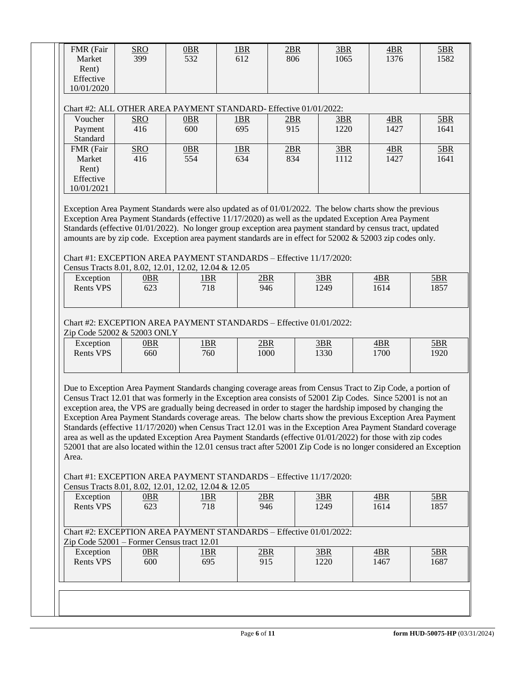| Rent)<br>Effective<br>10/01/2020                        | <b>SRO</b><br>399                                                                                                                                                                                                                                                                                                                                                                                                                                                                                                                                                                                                                                                                                                                                                                                                                                                                        | $0$ BR<br>532 | 1BR<br>612 | 2BR<br>806 | 3BR<br>1065 | 4BR<br>1376 | 5BR<br>1582 |
|---------------------------------------------------------|------------------------------------------------------------------------------------------------------------------------------------------------------------------------------------------------------------------------------------------------------------------------------------------------------------------------------------------------------------------------------------------------------------------------------------------------------------------------------------------------------------------------------------------------------------------------------------------------------------------------------------------------------------------------------------------------------------------------------------------------------------------------------------------------------------------------------------------------------------------------------------------|---------------|------------|------------|-------------|-------------|-------------|
|                                                         | Chart #2: ALL OTHER AREA PAYMENT STANDARD- Effective 01/01/2022:                                                                                                                                                                                                                                                                                                                                                                                                                                                                                                                                                                                                                                                                                                                                                                                                                         |               |            |            |             |             |             |
| Voucher                                                 | <b>SRO</b>                                                                                                                                                                                                                                                                                                                                                                                                                                                                                                                                                                                                                                                                                                                                                                                                                                                                               | $0$ BR        | 1BR        | 2BR        | 3BR         | 4BR         | 5BR         |
| Payment<br>Standard                                     | 416                                                                                                                                                                                                                                                                                                                                                                                                                                                                                                                                                                                                                                                                                                                                                                                                                                                                                      | 600           | 695        | 915        | 1220        | 1427        | 1641        |
| FMR (Fair<br>Market<br>Rent)<br>Effective<br>10/01/2021 | <b>SRO</b><br>416                                                                                                                                                                                                                                                                                                                                                                                                                                                                                                                                                                                                                                                                                                                                                                                                                                                                        | 0BR<br>554    | 1BR<br>634 | 2BR<br>834 | 3BR<br>1112 | 4BR<br>1427 | 5BR<br>1641 |
|                                                         | Standards (effective 01/01/2022). No longer group exception area payment standard by census tract, updated<br>amounts are by zip code. Exception area payment standards are in effect for 52002 & 52003 zip codes only.<br>Chart #1: EXCEPTION AREA PAYMENT STANDARDS - Effective 11/17/2020:<br>Census Tracts 8.01, 8.02, 12.01, 12.02, 12.04 & 12.05                                                                                                                                                                                                                                                                                                                                                                                                                                                                                                                                   |               |            |            |             |             |             |
| Exception<br><b>Rents VPS</b>                           | $0$ BR<br>623                                                                                                                                                                                                                                                                                                                                                                                                                                                                                                                                                                                                                                                                                                                                                                                                                                                                            | 1BR<br>718    | 2BR<br>946 |            | 3BR<br>1249 | 4BR<br>1614 | 5BR<br>1857 |
| Exception                                               | $0$ BR                                                                                                                                                                                                                                                                                                                                                                                                                                                                                                                                                                                                                                                                                                                                                                                                                                                                                   | 1BR           | 2BR        |            | 3BR         | 4BR         | 5BR         |
| Zip Code 52002 & 52003 ONLY<br><b>Rents VPS</b>         | 660                                                                                                                                                                                                                                                                                                                                                                                                                                                                                                                                                                                                                                                                                                                                                                                                                                                                                      | 760           | 1000       |            | 1330        | 1700        | 1920        |
| Area.                                                   | Due to Exception Area Payment Standards changing coverage areas from Census Tract to Zip Code, a portion of<br>Census Tract 12.01 that was formerly in the Exception area consists of 52001 Zip Codes. Since 52001 is not an<br>exception area, the VPS are gradually being decreased in order to stager the hardship imposed by changing the<br>Exception Area Payment Standards coverage areas. The below charts show the previous Exception Area Payment<br>Standards (effective 11/17/2020) when Census Tract 12.01 was in the Exception Area Payment Standard coverage<br>area as well as the updated Exception Area Payment Standards (effective 01/01/2022) for those with zip codes<br>52001 that are also located within the 12.01 census tract after 52001 Zip Code is no longer considered an Exception<br>Chart #1: EXCEPTION AREA PAYMENT STANDARDS - Effective 11/17/2020: |               |            |            |             |             |             |
|                                                         | Census Tracts 8.01, 8.02, 12.01, 12.02, 12.04 & 12.05                                                                                                                                                                                                                                                                                                                                                                                                                                                                                                                                                                                                                                                                                                                                                                                                                                    |               |            |            |             |             |             |
| Exception<br><b>Rents VPS</b>                           | $0$ BR<br>623                                                                                                                                                                                                                                                                                                                                                                                                                                                                                                                                                                                                                                                                                                                                                                                                                                                                            | 1BR<br>718    | 2BR<br>946 |            | 3BR<br>1249 | 4BR<br>1614 | 5BR<br>1857 |
|                                                         | Chart #2: EXCEPTION AREA PAYMENT STANDARDS - Effective 01/01/2022:<br>Zip Code 52001 – Former Census tract 12.01                                                                                                                                                                                                                                                                                                                                                                                                                                                                                                                                                                                                                                                                                                                                                                         |               |            |            |             |             |             |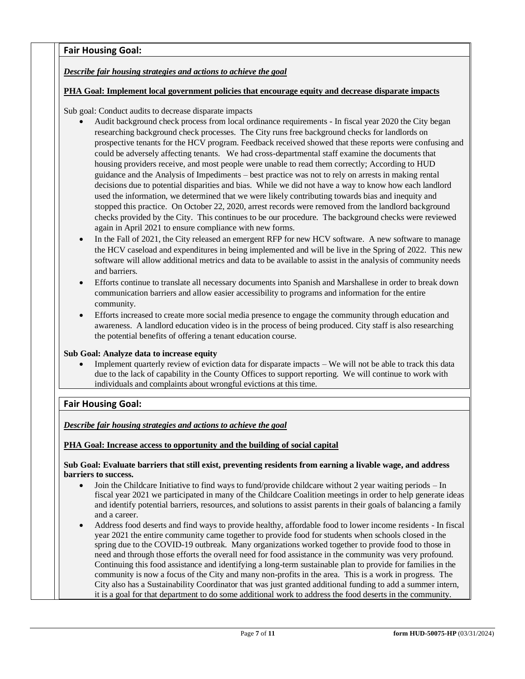# **Fair Housing Goal:**

# *Describe fair housing strategies and actions to achieve the goal*

# **PHA Goal: Implement local government policies that encourage equity and decrease disparate impacts**

Sub goal: Conduct audits to decrease disparate impacts

- Audit background check process from local ordinance requirements In fiscal year 2020 the City began researching background check processes. The City runs free background checks for landlords on prospective tenants for the HCV program. Feedback received showed that these reports were confusing and could be adversely affecting tenants. We had cross-departmental staff examine the documents that housing providers receive, and most people were unable to read them correctly; According to HUD guidance and the Analysis of Impediments – best practice was not to rely on arrests in making rental decisions due to potential disparities and bias. While we did not have a way to know how each landlord used the information, we determined that we were likely contributing towards bias and inequity and stopped this practice. On October 22, 2020, arrest records were removed from the landlord background checks provided by the City. This continues to be our procedure. The background checks were reviewed again in April 2021 to ensure compliance with new forms.
- In the Fall of 2021, the City released an emergent RFP for new HCV software. A new software to manage the HCV caseload and expenditures in being implemented and will be live in the Spring of 2022. This new software will allow additional metrics and data to be available to assist in the analysis of community needs and barriers.
- Efforts continue to translate all necessary documents into Spanish and Marshallese in order to break down communication barriers and allow easier accessibility to programs and information for the entire community.
- Efforts increased to create more social media presence to engage the community through education and awareness. A landlord education video is in the process of being produced. City staff is also researching the potential benefits of offering a tenant education course.

## **Sub Goal: Analyze data to increase equity**

Implement quarterly review of eviction data for disparate impacts – We will not be able to track this data due to the lack of capability in the County Offices to support reporting. We will continue to work with individuals and complaints about wrongful evictions at this time.

# **Fair Housing Goal:**

*Describe fair housing strategies and actions to achieve the goal* 

## **PHA Goal: Increase access to opportunity and the building of social capital**

# **Sub Goal: Evaluate barriers that still exist, preventing residents from earning a livable wage, and address barriers to success.**

- Join the Childcare Initiative to find ways to fund/provide childcare without 2 year waiting periods In fiscal year 2021 we participated in many of the Childcare Coalition meetings in order to help generate ideas and identify potential barriers, resources, and solutions to assist parents in their goals of balancing a family and a career.
- Address food deserts and find ways to provide healthy, affordable food to lower income residents In fiscal year 2021 the entire community came together to provide food for students when schools closed in the spring due to the COVID-19 outbreak. Many organizations worked together to provide food to those in need and through those efforts the overall need for food assistance in the community was very profound. Continuing this food assistance and identifying a long-term sustainable plan to provide for families in the community is now a focus of the City and many non-profits in the area. This is a work in progress. The City also has a Sustainability Coordinator that was just granted additional funding to add a summer intern, it is a goal for that department to do some additional work to address the food deserts in the community.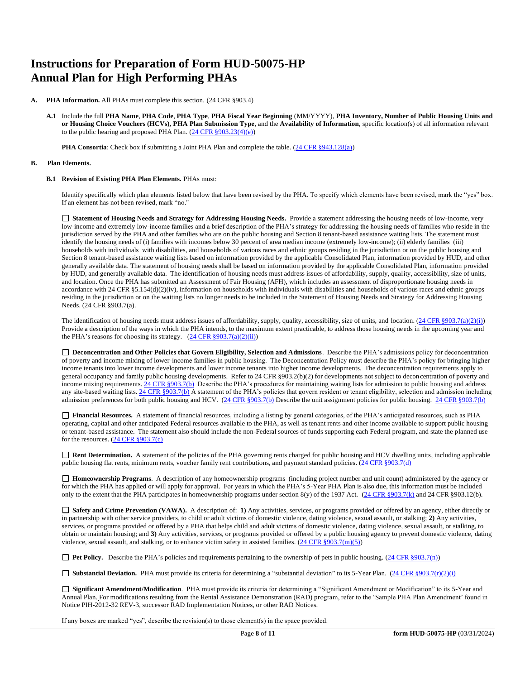# **Instructions for Preparation of Form HUD-50075-HP Annual Plan for High Performing PHAs**

- **A. PHA Information.** All PHAs must complete this section. (24 CFR §903.4)
	- **A.1** Include the full **PHA Name**, **PHA Code**, **PHA Type**, **PHA Fiscal Year Beginning** (MM/YYYY), **PHA Inventory, Number of Public Housing Units and or Housing Choice Vouchers (HCVs), PHA Plan Submission Type**, and the **Availability of Information**, specific location(s) of all information relevant to the public hearing and proposed PHA Plan.  $(24 \text{ CFR } \frac{8903.23(4)(e)}{e})$

**PHA Consortia**: Check box if submitting a Joint PHA Plan and complete the table. [\(24 CFR §943.128\(a\)\)](http://ecfr.gpoaccess.gov/cgi/t/text/text-idx?c=ecfr&sid=cc31cf1c3a2b84ba4ead75d35d258f67&rgn=div5&view=text&node=24:4.0.3.1.10&idno=24#24:4.0.3.1.10.2.5.7)

#### **B. Plan Elements.**

#### **B.1 Revision of Existing PHA Plan Elements.** PHAs must:

Identify specifically which plan elements listed below that have been revised by the PHA. To specify which elements have been revised, mark the "yes" box. If an element has not been revised, mark "no."

 **Statement of Housing Needs and Strategy for Addressing Housing Needs.** Provide a statement addressing the housing needs of low-income, very low-income and extremely low-income families and a brief description of the PHA's strategy for addressing the housing needs of families who reside in the jurisdiction served by the PHA and other families who are on the public housing and Section 8 tenant-based assistance waiting lists. The statement must identify the housing needs of (i) families with incomes below 30 percent of area median income (extremely low-income); (ii) elderly families (iii) households with individuals with disabilities, and households of various races and ethnic groups residing in the jurisdiction or on the public housing and Section 8 tenant-based assistance waiting lists based on information provided by the applicable Consolidated Plan, information provided by HUD, and other generally available data. The statement of housing needs shall be based on information provided by the applicable Consolidated Plan, information provided by HUD, and generally available data. The identification of housing needs must address issues of affordability, supply, quality, accessibility, size of units, and location. Once the PHA has submitted an Assessment of Fair Housing (AFH), which includes an assessment of disproportionate housing needs in accordance with 24 CFR §5.154(d)(2)(iv), information on households with individuals with disabilities and households of various races and ethnic groups residing in the jurisdiction or on the waiting lists no longer needs to be included in the Statement of Housing Needs and Strategy for Addressing Housing Needs. (24 CFR §903.7(a).

The identification of housing needs must address issues of affordability, supply, quality, accessibility, size of units, and location.  $(24 \text{ CFR } $903.7(a)(2)(i))$ Provide a description of the ways in which the PHA intends, to the maximum extent practicable, to address those housing needs in the upcoming year and the PHA's reasons for choosing its strategy.  $(24 \text{ CFR } \S 903.7(a)(2)(ii))$ 

□ Deconcentration and Other Policies that Govern Eligibility, Selection and Admissions. Describe the PHA's admissions policy for deconcentration of poverty and income mixing of lower-income families in public housing. The Deconcentration Policy must describe the PHA's policy for bringing higher income tenants into lower income developments and lower income tenants into higher income developments. The deconcentration requirements apply to general occupancy and family public housing developments. Refer to 24 CFR §903.2(b)(2) for developments not subject to deconcentration of poverty and income mixing requirements[. 24 CFR §903.7\(b\)](http://ecfr.gpoaccess.gov/cgi/t/text/text-idx?c=ecfr&sid=b44bf19bef93dd31287608d2c687e271&rgn=div5&view=text&node=24:4.0.3.1.3&idno=24#24:4.0.3.1.3.2.5.5) Describe the PHA's procedures for maintaining waiting lists for admission to public housing and address any site-based waiting lists[. 24 CFR §903.7\(b\)](http://ecfr.gpoaccess.gov/cgi/t/text/text-idx?c=ecfr&sid=b44bf19bef93dd31287608d2c687e271&rgn=div5&view=text&node=24:4.0.3.1.3&idno=24#24:4.0.3.1.3.2.5.5) A statement of the PHA's policies that govern resident or tenant eligibility, selection and admission including admission preferences for both public housing and HCV. [\(24 CFR §903.7\(b\)](http://ecfr.gpoaccess.gov/cgi/t/text/text-idx?c=ecfr&sid=b44bf19bef93dd31287608d2c687e271&rgn=div5&view=text&node=24:4.0.3.1.3&idno=24#24:4.0.3.1.3.2.5.5) Describe the unit assignment policies for public housing. [24 CFR §903.7\(b\)](http://ecfr.gpoaccess.gov/cgi/t/text/text-idx?c=ecfr&sid=b44bf19bef93dd31287608d2c687e271&rgn=div5&view=text&node=24:4.0.3.1.3&idno=24#24:4.0.3.1.3.2.5.5)

 **Financial Resources.** A statement of financial resources, including a listing by general categories, of the PHA's anticipated resources, such as PHA operating, capital and other anticipated Federal resources available to the PHA, as well as tenant rents and other income available to support public housing or tenant-based assistance. The statement also should include the non-Federal sources of funds supporting each Federal program, and state the planned use for the resources. [\(24 CFR §903.7\(c\)](http://ecfr.gpoaccess.gov/cgi/t/text/text-idx?c=ecfr&sid=b44bf19bef93dd31287608d2c687e271&rgn=div5&view=text&node=24:4.0.3.1.3&idno=24)

 **Rent Determination.** A statement of the policies of the PHA governing rents charged for public housing and HCV dwelling units, including applicable public housing flat rents, minimum rents, voucher family rent contributions, and payment standard policies. [\(24 CFR §903.7\(d\)](http://ecfr.gpoaccess.gov/cgi/t/text/text-idx?c=ecfr&sid=b44bf19bef93dd31287608d2c687e271&rgn=div5&view=text&node=24:4.0.3.1.3&idno=24#24:4.0.3.1.3.2.5.5)

 **Homeownership Programs**. A description of any homeownership programs (including project number and unit count) administered by the agency or for which the PHA has applied or will apply for approval. For years in which the PHA's 5-Year PHA Plan is also due, this information must be included only to the extent that the PHA participates in homeownership programs under section 8(y) of the 1937 Act. [\(24 CFR §903.7\(k\)](http://ecfr.gpoaccess.gov/cgi/t/text/text-idx?c=ecfr&sid=b44bf19bef93dd31287608d2c687e271&rgn=div5&view=text&node=24:4.0.3.1.3&idno=24#24:4.0.3.1.3.2.5.5) and 24 CFR §903.12(b).

 **Safety and Crime Prevention (VAWA).** A description of: **1)** Any activities, services, or programs provided or offered by an agency, either directly or in partnership with other service providers, to child or adult victims of domestic violence, dating violence, sexual assault, or stalking; **2)** Any activities, services, or programs provided or offered by a PHA that helps child and adult victims of domestic violence, dating violence, sexual assault, or stalking, to obtain or maintain housing; and **3)** Any activities, services, or programs provided or offered by a public housing agency to prevent domestic violence, dating violence, sexual assault, and stalking, or to enhance victim safety in assisted families.  $(24 \text{ CFR } \text{\textless} 903.7 \text{(m)}(5))$ 

■ **Pet Policy.** Describe the PHA's policies and requirements pertaining to the ownership of pets in public housing. [\(24 CFR §903.7\(n\)\)](http://ecfr.gpoaccess.gov/cgi/t/text/text-idx?c=ecfr&sid=13734845220744370804c20da2294a03&rgn=div5&view=text&node=24:4.0.3.1.3&idno=24#24:4.0.3.1.3.2.5.5)

**Substantial Deviation.** PHA must provide its criteria for determining a "substantial deviation" to its 5-Year Plan. [\(24 CFR §903.7\(r\)\(2\)\(i\)](http://ecfr.gpoaccess.gov/cgi/t/text/text-idx?c=ecfr&sid=13734845220744370804c20da2294a03&rgn=div5&view=text&node=24:4.0.3.1.3&idno=24#24:4.0.3.1.3.2.5.5) 

 **Significant Amendment/Modification**. PHA must provide its criteria for determining a "Significant Amendment or Modification" to its 5-Year and Annual Plan. For modifications resulting from the Rental Assistance Demonstration (RAD) program, refer to the 'Sample PHA Plan Amendment' found in Notice PIH-2012-32 REV-3, successor RAD Implementation Notices, or other RAD Notices.

If any boxes are marked "yes", describe the revision(s) to those element(s) in the space provided.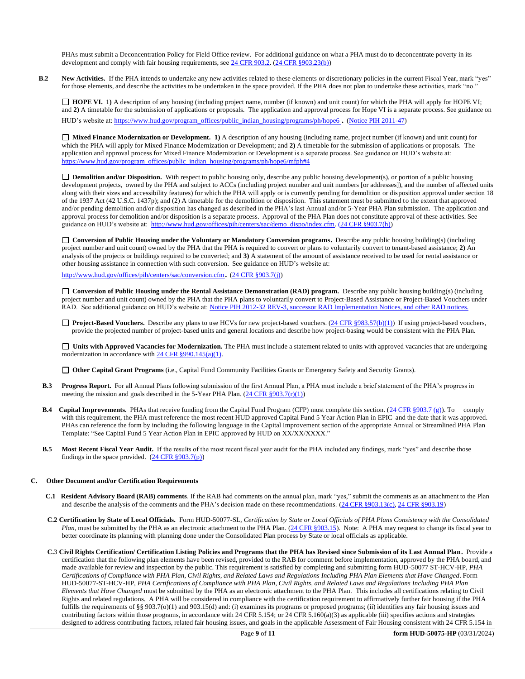PHAs must submit a Deconcentration Policy for Field Office review. For additional guidance on what a PHA must do to deconcentrate poverty in its development and comply with fair housing requirements, se[e 24 CFR 903.2.](http://ecfr.gpoaccess.gov/cgi/t/text/text-idx?c=ecfr&sid=31b6a8e6f1110b36cc115eb6e4d5e3b4&rgn=div5&view=text&node=24:4.0.3.1.3&idno=24#24:4.0.3.1.3.1.5.2) [\(24 CFR §903.23\(b\)\)](http://ecfr.gpoaccess.gov/cgi/t/text/text-idx?c=ecfr&sid=13734845220744370804c20da2294a03&rgn=div5&view=text&node=24:4.0.3.1.3&idno=24#24:4.0.3.1.3.2.5.9)

**B.2** New Activities. If the PHA intends to undertake any new activities related to these elements or discretionary policies in the current Fiscal Year, mark "yes" for those elements, and describe the activities to be undertaken in the space provided. If the PHA does not plan to undertake these activities, mark "no."

□ **HOPE VI.** 1) A description of any housing (including project name, number (if known) and unit count) for which the PHA will apply for HOPE VI; and 2) A timetable for the submission of applications or proposals. The application and approval process for Hope VI is a separate process. See guidance on HUD's website at[: https://www.hud.gov/program\\_offices/public\\_indian\\_housing/programs/ph/hope6](https://www.hud.gov/program_offices/public_indian_housing/programs/ph/hope6) . [\(Notice PIH 2011-47\)](http://www.hud.gov/offices/adm/hudclips/notices/pih/07pihnotices.cfm)

 **Mixed Finance Modernization or Development. 1)** A description of any housing (including name, project number (if known) and unit count) for which the PHA will apply for Mixed Finance Modernization or Development; and **2)** A timetable for the submission of applications or proposals. The application and approval process for Mixed Finance Modernization or Development is a separate process. See guidance on HUD's website at: [https://www.hud.gov/program\\_offices/public\\_indian\\_housing/programs/ph/hope6/mfph#4](https://www.hud.gov/program_offices/public_indian_housing/programs/ph/hope6/mfph#4)

□ **Demolition and/or Disposition.** With respect to public housing only, describe any public housing development(s), or portion of a public housing development projects, owned by the PHA and subject to ACCs (including project number and unit numbers [or addresses]), and the number of affected units along with their sizes and accessibility features) for which the PHA will apply or is currently pending for demolition or disposition approval under section 18 of the 1937 Act (42 U.S.C. 1437p); and (2) A timetable for the demolition or disposition. This statement must be submitted to the extent that approved and/or pending demolition and/or disposition has changed as described in the PHA's last Annual and/or 5-Year PHA Plan submission. The application and approval process for demolition and/or disposition is a separate process. Approval of the PHA Plan does not constitute approval of these activities. See guidance on HUD's website at: [http://www.hud.gov/offices/pih/centers/sac/demo\\_dispo/index.cfm.](http://www.hud.gov/offices/pih/centers/sac/demo_dispo/index.cfm) [\(24 CFR §903.7\(h\)\)](http://ecfr.gpoaccess.gov/cgi/t/text/text-idx?c=ecfr&sid=13734845220744370804c20da2294a03&rgn=div5&view=text&node=24:4.0.3.1.3&idno=24#24:4.0.3.1.3.2.5.5)

**Conversion of Public Housing under the Voluntary or Mandatory Conversion programs.** Describe any public housing building(s) (including project number and unit count) owned by the PHA that the PHA is required to convert or plans to voluntarily convert to tenant-based assistance; **2)** An analysis of the projects or buildings required to be converted; and **3)** A statement of the amount of assistance received to be used for rental assistance or other housing assistance in connection with such conversion. See guidance on HUD's website at:

<http://www.hud.gov/offices/pih/centers/sac/conversion.cfm>. [\(24 CFR §903.7\(j\)\)](http://ecfr.gpoaccess.gov/cgi/t/text/text-idx?c=ecfr&sid=13734845220744370804c20da2294a03&rgn=div5&view=text&node=24:4.0.3.1.3&idno=24#24:4.0.3.1.3.2.5.5) 

**Conversion of Public Housing under the Rental Assistance Demonstration (RAD) program.** Describe any public housing building(s) (including project number and unit count) owned by the PHA that the PHA plans to voluntarily convert to Project-Based Assistance or Project-Based Vouchers under RAD. See additional guidance on HUD's website at: [Notice PIH 2012-32](http://portal.hud.gov/hudportal/HUD?src=/program_offices/administration/hudclips/notices/pih/12pihnotices) REV-3, successor RAD Implementation Notices, and other RAD notices.

□ **Project-Based Vouchers.** Describe any plans to use HCVs for new project-based vouchers. [\(24 CFR §983.57\(b\)\(1\)\)](http://ecfr.gpoaccess.gov/cgi/t/text/text-idx?c=ecfr&sid=b44bf19bef93dd31287608d2c687e271&rgn=div5&view=text&node=24:4.0.3.1.24&idno=24#24:4.0.3.1.24.2.41.7) If using project-based vouchers, provide the projected number of project-based units and general locations and describe how project-basing would be consistent with the PHA Plan.

□ Units with Approved Vacancies for Modernization. The PHA must include a statement related to units with approved vacancies that are undergoing modernization in accordance wit[h 24 CFR §990.145\(a\)\(1\).](http://www.ecfr.gov/cgi-bin/retrieveECFR?gp=1&SID=861f819542172e8e9912b8c1348ee120&ty=HTML&h=L&n=24y4.0.3.1.23&r=PART)

**Other Capital Grant Programs** (i.e., Capital Fund Community Facilities Grants or Emergency Safety and Security Grants).

- **B.3 Progress Report.** For all Annual Plans following submission of the first Annual Plan, a PHA must include a brief statement of the PHA's progress in meeting the mission and goals described in the 5-Year PHA Plan.  $(24 \text{ CFR } \text{\textless{903.7}}(r)(1))$
- **B.4** Capital Improvements. PHAs that receive funding from the Capital Fund Program (CFP) must complete this section. [\(24 CFR §903.7 \(g\)\)](http://ecfr.gpoaccess.gov/cgi/t/text/text-idx?c=ecfr&sid=0885bb33f96a064e6519e07d66d87fd6&rgn=div5&view=text&node=24:4.0.3.1.3&idno=24#24:4.0.3.1.3.2.5.5). To comply with this requirement, the PHA must reference the most recent HUD approved Capital Fund 5 Year Action Plan in EPIC and the date that it was approved. PHAs can reference the form by including the following language in the Capital Improvement section of the appropriate Annual or Streamlined PHA Plan Template: "See Capital Fund 5 Year Action Plan in EPIC approved by HUD on XX/XX/XXXX."
- **B.5 Most Recent Fiscal Year Audit.** If the results of the most recent fiscal year audit for the PHA included any findings, mark "yes" and describe those findings in the space provided.  $(24 \text{ CFR } \frac{§903.7(p)}{p})$

#### **C. Other Document and/or Certification Requirements**

- **C.1 Resident Advisory Board (RAB) comments**. If the RAB had comments on the annual plan, mark "yes," submit the comments as an attachment to the Plan and describe the analysis of the comments and the PHA's decision made on these recommendations. [\(24 CFR §903.13\(c\),](http://ecfr.gpoaccess.gov/cgi/t/text/text-idx?c=ecfr&sid=13734845220744370804c20da2294a03&rgn=div5&view=text&node=24:4.0.3.1.3&idno=24#24:4.0.3.1.3.2.5.9) [24 CFR §903.19\)](http://ecfr.gpoaccess.gov/cgi/t/text/text-idx?c=ecfr&sid=f41eb312b1425d2a95a2478fde61e11f&rgn=div5&view=text&node=24:4.0.3.1.3&idno=24#24:4.0.3.1.3.2.5.12)
- **C.2 Certification by State of Local Officials.** Form HUD-50077-SL, *Certification by State or Local Officials of PHA Plans Consistency with the Consolidated Plan*, must be submitted by the PHA as an electronic attachment to the PHA Plan. [\(24 CFR §903.15\)](http://ecfr.gpoaccess.gov/cgi/t/text/text-idx?c=ecfr&sid=929855241bbc0873ac4be47579a4d2bf&rgn=div5&view=text&node=24:4.0.3.1.3&idno=24#24:4.0.3.1.3.2.5.10). Note: A PHA may request to change its fiscal year to better coordinate its planning with planning done under the Consolidated Plan process by State or local officials as applicable.
- **C.**3 **Civil Rights Certification/ Certification Listing Policies and Programs that the PHA has Revised since Submission of its Last Annual Plan.** Provide a certification that the following plan elements have been revised, provided to the RAB for comment before implementation, approved by the PHA board, and made available for review and inspection by the public. This requirement is satisfied by completing and submitting form HUD-50077 ST-HCV-HP, *PHA Certifications of Compliance with PHA Plan, Civil Rights, and Related Laws and Regulations Including PHA Plan Elements that Have Changed*. Form HUD-50077-ST-HCV-HP, *PHA Certifications of Compliance with PHA Plan, Civil Rights, and Related Laws and Regulations Including PHA Plan Elements that Have Changed* must be submitted by the PHA as an electronic attachment to the PHA Plan. This includes all certifications relating to Civil Rights and related regulations. A PHA will be considered in compliance with the certification requirement to affirmatively further fair housing if the PHA fulfills the requirements of §§ 903.7(o)(1) and 903.15(d) and: (i) examines its programs or proposed programs; (ii) identifies any fair housing issues and contributing factors within those programs, in accordance with 24 CFR 5.154; or 24 CFR 5.160(a)(3) as applicable (iii) specifies actions and strategies designed to address contributing factors, related fair housing issues, and goals in the applicable Assessment of Fair Housing consistent with 24 CFR 5.154 in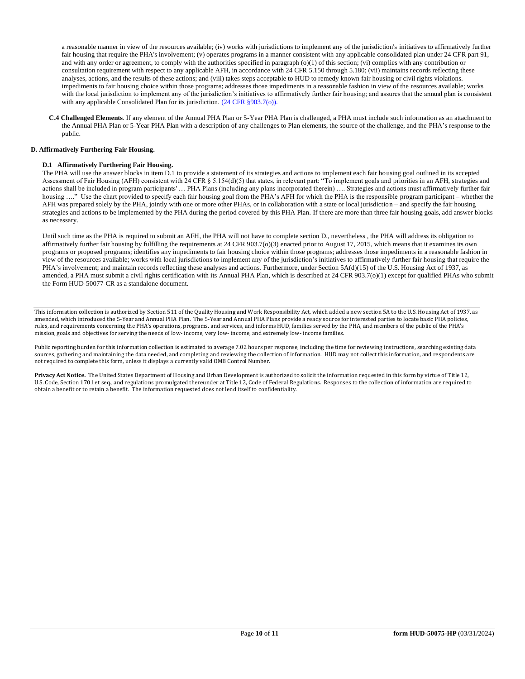a reasonable manner in view of the resources available; (iv) works with jurisdictions to implement any of the jurisdiction's initiatives to affirmatively further fair housing that require the PHA's involvement; (v) operates programs in a manner consistent with any applicable consolidated plan under 24 CFR part 91, and with any order or agreement, to comply with the authorities specified in paragraph  $(o)(1)$  of this section; (vi) complies with any contribution or consultation requirement with respect to any applicable AFH, in accordance with 24 CFR 5.150 through 5.180; (vii) maintains records reflecting these analyses, actions, and the results of these actions; and (viii) takes steps acceptable to HUD to remedy known fair housing or civil rights violations. impediments to fair housing choice within those programs; addresses those impediments in a reasonable fashion in view of the resources available; works with the local jurisdiction to implement any of the jurisdiction's initiatives to affirmatively further fair housing; and assures that the annual plan is consistent with any applicable Consolidated Plan for its jurisdiction. (24 CFR §903.7(o)).

 **C.4 Challenged Elements**. If any element of the Annual PHA Plan or 5-Year PHA Plan is challenged, a PHA must include such information as an attachment to the Annual PHA Plan or 5-Year PHA Plan with a description of any challenges to Plan elements, the source of the challenge, and the PHA's response to the public.

#### **D. Affirmatively Furthering Fair Housing.**

#### **D.1 Affirmatively Furthering Fair Housing.**

The PHA will use the answer blocks in item D.1 to provide a statement of its strategies and actions to implement each fair housing goal outlined in its accepted Assessment of Fair Housing (AFH) consistent with 24 CFR § 5.154(d)(5) that states, in relevant part: "To implement goals and priorities in an AFH, strategies and actions shall be included in program participants' … PHA Plans (including any plans incorporated therein) …. Strategies and actions must affirmatively further fair housing ...." Use the chart provided to specify each fair housing goal from the PHA's AFH for which the PHA is the responsible program participant – whether the AFH was prepared solely by the PHA, jointly with one or more other PHAs, or in collaboration with a state or local jurisdiction – and specify the fair housing strategies and actions to be implemented by the PHA during the period covered by this PHA Plan. If there are more than three fair housing goals, add answer blocks as necessary.

Until such time as the PHA is required to submit an AFH, the PHA will not have to complete section D., nevertheless , the PHA will address its obligation to affirmatively further fair housing by fulfilling the requirements at 24 CFR 903.7(o)(3) enacted prior to August 17, 2015, which means that it examines its own programs or proposed programs; identifies any impediments to fair housing choice within those programs; addresses those impediments in a reasonable fashion in view of the resources available; works with local jurisdictions to implement any of the jurisdiction's initiatives to affirmatively further fair housing that require the PHA's involvement; and maintain records reflecting these analyses and actions. Furthermore, under Section 5A(d)(15) of the U.S. Housing Act of 1937, as amended, a PHA must submit a civil rights certification with its Annual PHA Plan, which is described at 24 CFR 903.7(o)(1) except for qualified PHAs who submit the Form HUD-50077-CR as a standalone document.

This information collection is authorized by Section 511 of the Quality Housing and Work Responsibility Act, which added a new section 5A to the U.S. Housing Act of 1937, as amended, which introduced the 5-Year and Annual PHA Plan. The 5-Year and Annual PHA Plans provide a ready source for interested parties to locate basic PHA policies, rules, and requirements concerning the PHA's operations, programs, and services, and informs HUD, families served by the PHA, and members of the public of the PHA's mission, goals and objectives for serving the needs of low- income, very low- income, and extremely low- income families.

Public reporting burden for this information collection is estimated to average 7.02 hours per response, including the time for reviewing instructions, searching existing data sources, gathering and maintaining the data needed, and completing and reviewing the collection of information. HUD may not collect this information, and respondents are not required to complete this form, unless it displays a currently valid OMB Control Number.

**Privacy Act Notice.** The United States Department of Housing and Urban Development is authorized to solicit the information requested in this form by virtue of Title 12, U.S. Code, Section 1701 et seq., and regulations promulgated thereunder at Title 12, Code of Federal Regulations. Responses to the collection of information are required to obtain a benefit or to retain a benefit. The information requested does not lend itself to confidentiality.